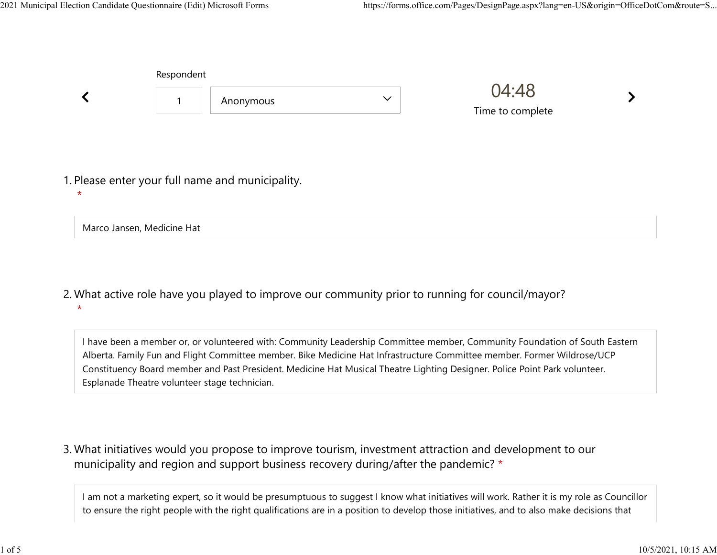|                                                             | Respondent           |           |              |                           |  |
|-------------------------------------------------------------|----------------------|-----------|--------------|---------------------------|--|
|                                                             | $\blacktriangleleft$ | Anonymous | $\checkmark$ | 04:48<br>Time to complete |  |
| 1. Please enter your full name and municipality.<br>$\star$ |                      |           |              |                           |  |
| Marco Jansen, Medicine Hat                                  |                      |           |              |                           |  |

What active role have you played to improve our community prior to running for council/mayor? 2. \*

I have been a member or, or volunteered with: Community Leadership Committee member, Community Foundation of South Eastern Alberta. Family Fun and Flight Committee member. Bike Medicine Hat Infrastructure Committee member. Former Wildrose/UCP Constituency Board member and Past President. Medicine Hat Musical Theatre Lighting Designer. Police Point Park volunteer. Esplanade Theatre volunteer stage technician.

What initiatives would you propose to improve tourism, investment attraction and development to our 3. municipality and region and support business recovery during/after the pandemic? \*

I am not a marketing expert, so it would be presumptuous to suggest I know what initiatives will work. Rather it is my role as Councillor to ensure the right people with the right qualifications are in a position to develop those initiatives, and to also make decisions that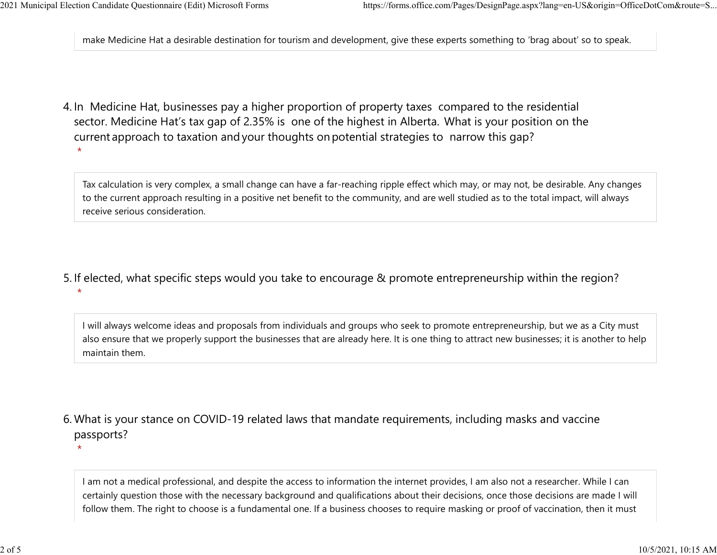\*

make Medicine Hat a desirable destination for tourism and development, give these experts something to 'brag about' so to speak. 2021 Municipal Election Candidate Questionnaire (Edit) Microsoft Forms https://forms.office.com/Pages/DesignPage.aspx?lang=en-US&origin=OfficeDotCom&route=S...<br>make Medicine Hat a desirable destination for tourism and deve

4. In Medicine Hat, businesses pay a higher proportion of property taxes compared to the residential sector.  Medicine Hat's tax gap of 2.35% is one of the highest in Alberta.  What is your position on the current approach to taxation and your thoughts on potential strategies to narrow this gap? \*

Tax calculation is very complex, a small change can have a far-reaching ripple effect which may, or may not, be desirable. Any changes to the current approach resulting in a positive net benefit to the community, and are well studied as to the total impact, will always receive serious consideration.

5. If elected, what specific steps would you take to encourage & promote entrepreneurship within the region?

I will always welcome ideas and proposals from individuals and groups who seek to promote entrepreneurship, but we as a City must also ensure that we properly support the businesses that are already here. It is one thing to attract new businesses; it is another to help maintain them.

What is your stance on COVID-19 related laws that mandate requirements, including masks and vaccine 6. passports? \*

I am not a medical professional, and despite the access to information the internet provides, I am also not a researcher. While I can certainly question those with the necessary background and qualifications about their decisions, once those decisions are made I will follow them. The right to choose is a fundamental one. If a business chooses to require masking or proof of vaccination, then it must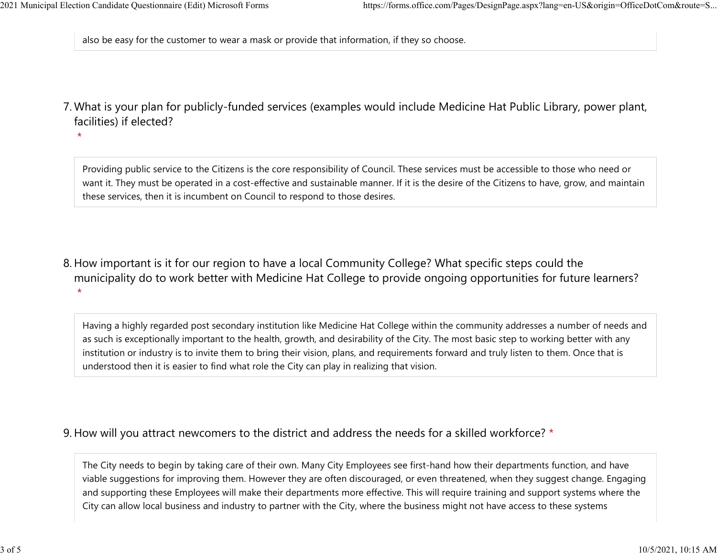also be easy for the customer to wear a mask or provide that information, if they so choose. 2021 Municipal Election Candidate Questionnaire (Edit) Microsoft Forms https://forms.office.com/Pages/DesignPage.aspx?lang=en-US&origin=OfficeDotCom&route=S...<br>also be easy for the customer to wear a mask or provide that i

What is your plan for publicly-funded services (examples would include Medicine Hat Public Library, power plant, 7. facilities) if elected?

\*

Providing public service to the Citizens is the core responsibility of Council. These services must be accessible to those who need or want it. They must be operated in a cost-effective and sustainable manner. If it is the desire of the Citizens to have, grow, and maintain these services, then it is incumbent on Council to respond to those desires.

8. How important is it for our region to have a local Community College? What specific steps could the municipality do to work better with Medicine Hat College to provide ongoing opportunities for future learners? \*

Having a highly regarded post secondary institution like Medicine Hat College within the community addresses a number of needs and as such is exceptionally important to the health, growth, and desirability of the City. The most basic step to working better with any institution or industry is to invite them to bring their vision, plans, and requirements forward and truly listen to them. Once that is understood then it is easier to find what role the City can play in realizing that vision.

## 9. How will you attract newcomers to the district and address the needs for a skilled workforce? \*

The City needs to begin by taking care of their own. Many City Employees see first-hand how their departments function, and have viable suggestions for improving them. However they are often discouraged, or even threatened, when they suggest change. Engaging and supporting these Employees will make their departments more effective. This will require training and support systems where the City can allow local business and industry to partner with the City, where the business might not have access to these systems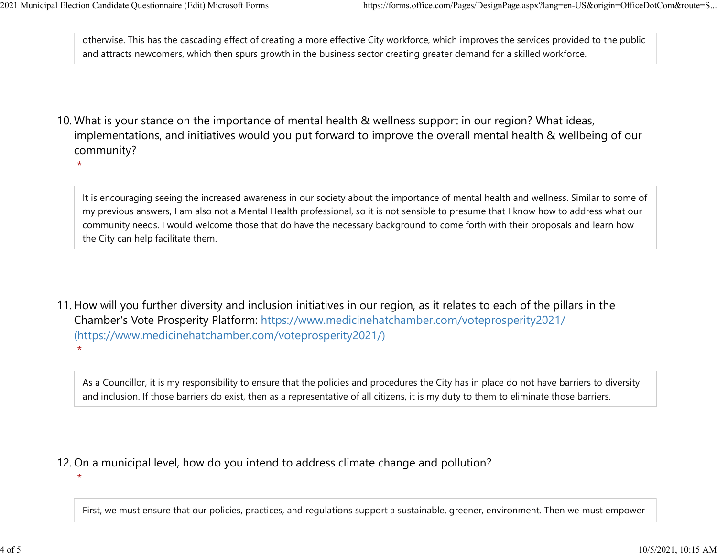\*

\*

otherwise. This has the cascading effect of creating a more effective City workforce, which improves the services provided to the public and attracts newcomers, which then spurs growth in the business sector creating greater demand for a skilled workforce. 2021 Municipal Election Candidate Questionnaire (Edit) Microsoft Forms https://forms.office.com/Pages/DesignPage.aspx?lang=en-US&origin=OfficeDotCom&route=S...<br>
otherwise. This has the cascading effect of creating a more e

10. What is your stance on the importance of mental health & wellness support in our region? What ideas, implementations, and initiatives would you put forward to improve the overall mental health & wellbeing of our community?

It is encouraging seeing the increased awareness in our society about the importance of mental health and wellness. Similar to some of my previous answers, I am also not a Mental Health professional, so it is not sensible to presume that I know how to address what our community needs. I would welcome those that do have the necessary background to come forth with their proposals and learn how the City can help facilitate them.

11. How will you further diversity and inclusion initiatives in our region, as it relates to each of the pillars in the Chamber's Vote Prosperity Platform: https://www.medicinehatchamber.com/voteprosperity2021/ (https://www.medicinehatchamber.com/voteprosperity2021/) \*

As a Councillor, it is my responsibility to ensure that the policies and procedures the City has in place do not have barriers to diversity and inclusion. If those barriers do exist, then as a representative of all citizens, it is my duty to them to eliminate those barriers.

12. On a municipal level, how do you intend to address climate change and pollution?

First, we must ensure that our policies, practices, and regulations support a sustainable, greener, environment. Then we must empower